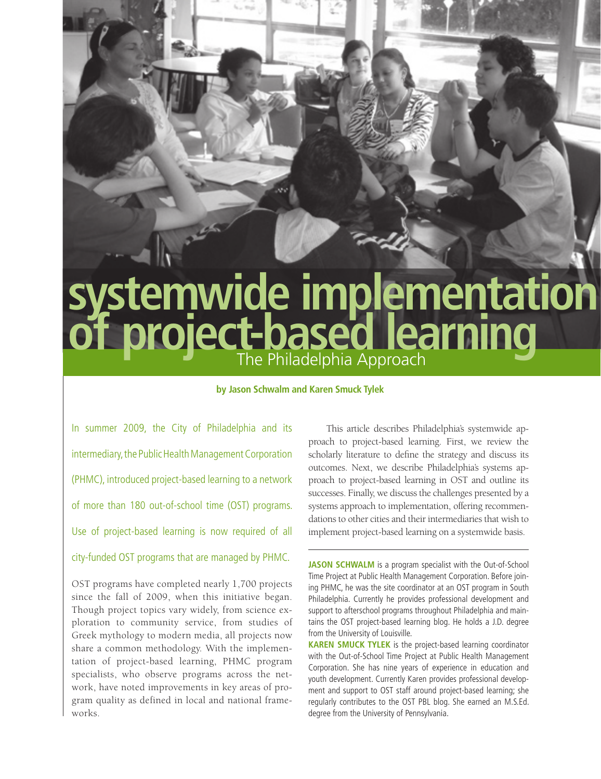# **systemwide implementation**  of project-based learning

### **by Jason Schwalm and Karen Smuck Tylek**

In summer 2009, the City of Philadelphia and its intermediary, the Public Health Management Corporation (PHMC), introduced project-based learning to a network of more than 180 out-of-school time (OST) programs. Use of project-based learning is now required of all

# city-funded OST programs that are managed by PHMC.

OST programs have completed nearly 1,700 projects since the fall of 2009, when this initiative began. Though project topics vary widely, from science exploration to community service, from studies of Greek mythology to modern media, all projects now share a common methodology. With the implementation of project-based learning, PHMC program specialists, who observe programs across the network, have noted improvements in key areas of program quality as defined in local and national frameworks.

This article describes Philadelphia's systemwide approach to project-based learning. First, we review the scholarly literature to define the strategy and discuss its outcomes. Next, we describe Philadelphia's systems approach to project-based learning in OST and outline its successes. Finally, we discuss the challenges presented by a systems approach to implementation, offering recommendations to other cities and their intermediaries that wish to implement project-based learning on a systemwide basis.

**JASON SCHWALM** is a program specialist with the Out-of-School Time Project at Public Health Management Corporation. Before joining PHMC, he was the site coordinator at an OST program in South Philadelphia. Currently he provides professional development and support to afterschool programs throughout Philadelphia and maintains the OST project-based learning blog. He holds a J.D. degree from the University of Louisville.

**KAREN SMUCK TYLEK** is the project-based learning coordinator with the Out-of-School Time Project at Public Health Management Corporation. She has nine years of experience in education and youth development. Currently Karen provides professional development and support to OST staff around project-based learning; she regularly contributes to the OST PBL blog. She earned an M.S.Ed. degree from the University of Pennsylvania.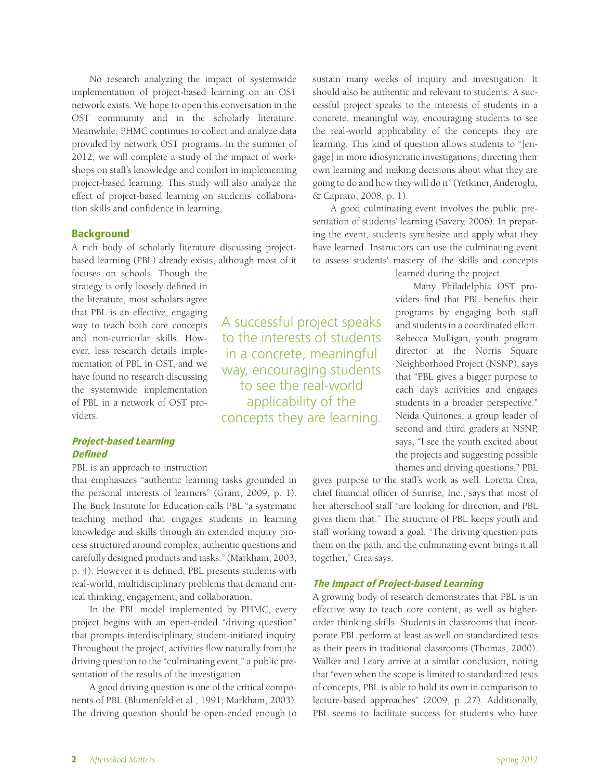No research analyzing the impact of systemwide implementation of project-based learning on an OST network exists. We hope to open this conversation in the OST community and in the scholarly literature. Meanwhile, PHMC continues to collect and analyze data provided by network OST programs. In the summer of 2012, we will complete a study of the impact of workshops on staff's knowledge and comfort in implementing project-based learning. This study will also analyze the effect of project-based learning on students' collaboration skills and confidence in learning.

# Background

A rich body of scholarly literature discussing projectbased learning (PBL) already exists, although most of it

> A successful project speaks to the interests of students in a concrete, meaningful way, encouraging students to see the real-world applicability of the concepts they are learning.

focuses on schools. Though the strategy is only loosely defined in the literature, most scholars agree that PBL is an effective, engaging way to teach both core concepts and non-curricular skills. However, less research details implementation of PBL in OST, and we have found no research discussing the systemwide implementation of PBL in a network of OST providers.

# Project-based Learning **Defined**

PBL is an approach to instruction

that emphasizes "authentic learning tasks grounded in the personal interests of learners" (Grant, 2009, p. 1). The Buck Institute for Education calls PBL "a systematic teaching method that engages students in learning knowledge and skills through an extended inquiry process structured around complex, authentic questions and carefully designed products and tasks." (Markham, 2003, p. 4). However it is defined, PBL presents students with real-world, multidisciplinary problems that demand critical thinking, engagement, and collaboration.

In the PBL model implemented by PHMC, every project begins with an open-ended "driving question" that prompts interdisciplinary, student-initiated inquiry. Throughout the project, activities flow naturally from the driving question to the "culminating event," a public presentation of the results of the investigation.

A good driving question is one of the critical components of PBL (Blumenfeld et al., 1991; Markham, 2003). The driving question should be open-ended enough to sustain many weeks of inquiry and investigation. It should also be authentic and relevant to students. A successful project speaks to the interests of students in a concrete, meaningful way, encouraging students to see the real-world applicability of the concepts they are learning. This kind of question allows students to "[engage] in more idiosyncratic investigations, directing their own learning and making decisions about what they are going to do and how they will do it" (Yetkiner, Anderoglu, & Capraro, 2008, p. 1).

A good culminating event involves the public presentation of students' learning (Savery, 2006). In preparing the event, students synthesize and apply what they have learned. Instructors can use the culminating event to assess students' mastery of the skills and concepts

learned during the project.

Many Philadelphia OST providers find that PBL benefits their programs by engaging both staff and students in a coordinated effort. Rebecca Mulligan, youth program director at the Norris Square Neighborhood Project (NSNP), says that "PBL gives a bigger purpose to each day's activities and engages students in a broader perspective." Neida Quinones, a group leader of second and third graders at NSNP, says, "I see the youth excited about the projects and suggesting possible themes and driving questions." PBL

gives purpose to the staff's work as well. Loretta Crea, chief financial officer of Sunrise, Inc., says that most of her afterschool staff "are looking for direction, and PBL gives them that." The structure of PBL keeps youth and staff working toward a goal. "The driving question puts them on the path, and the culminating event brings it all together," Crea says.

# The Impact of Project-based Learning

A growing body of research demonstrates that PBL is an effective way to teach core content, as well as higherorder thinking skills. Students in classrooms that incorporate PBL perform at least as well on standardized tests as their peers in traditional classrooms (Thomas, 2000). Walker and Leary arrive at a similar conclusion, noting that "even when the scope is limited to standardized tests of concepts, PBL is able to hold its own in comparison to lecture-based approaches" (2009, p. 27). Additionally, PBL seems to facilitate success for students who have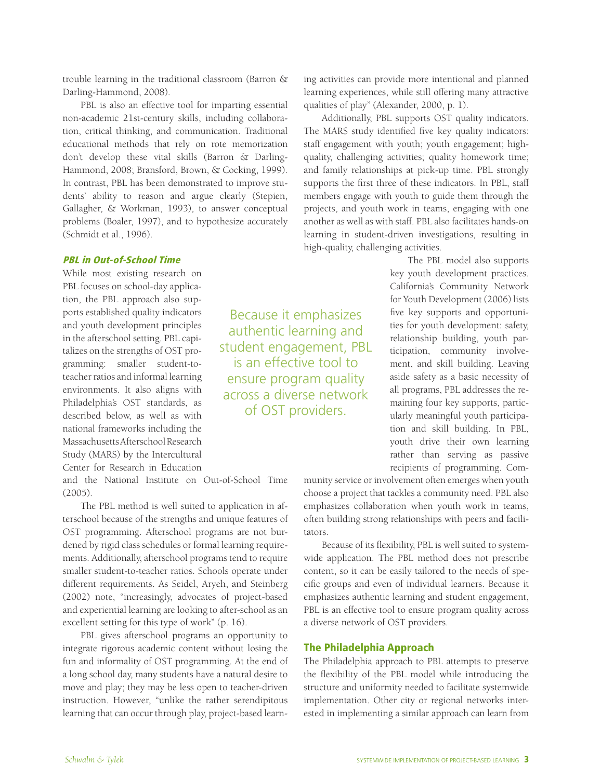trouble learning in the traditional classroom (Barron & Darling-Hammond, 2008).

PBL is also an effective tool for imparting essential non-academic 21st-century skills, including collaboration, critical thinking, and communication. Traditional educational methods that rely on rote memorization don't develop these vital skills (Barron & Darling-Hammond, 2008; Bransford, Brown, & Cocking, 1999). In contrast, PBL has been demonstrated to improve students' ability to reason and argue clearly (Stepien, Gallagher, & Workman, 1993), to answer conceptual problems (Boaler, 1997), and to hypothesize accurately (Schmidt et al., 1996).

# PBL in Out-of-School Time

While most existing research on PBL focuses on school-day application, the PBL approach also supports established quality indicators and youth development principles in the afterschool setting. PBL capitalizes on the strengths of OST programming: smaller student-toteacher ratios and informal learning environments. It also aligns with Philadelphia's OST standards, as described below, as well as with national frameworks including the Massachusetts Afterschool Research Study (MARS) by the Intercultural Center for Research in Education

and the National Institute on Out-of-School Time (2005).

The PBL method is well suited to application in afterschool because of the strengths and unique features of OST programming. Afterschool programs are not burdened by rigid class schedules or formal learning requirements. Additionally, afterschool programs tend to require smaller student-to-teacher ratios. Schools operate under different requirements. As Seidel, Aryeh, and Steinberg (2002) note, "increasingly, advocates of project-based and experiential learning are looking to after-school as an excellent setting for this type of work" (p. 16).

PBL gives afterschool programs an opportunity to integrate rigorous academic content without losing the fun and informality of OST programming. At the end of a long school day, many students have a natural desire to move and play; they may be less open to teacher-driven instruction. However, "unlike the rather serendipitous learning that can occur through play, project-based learning activities can provide more intentional and planned learning experiences, while still offering many attractive qualities of play" (Alexander, 2000, p. 1).

Additionally, PBL supports OST quality indicators. The MARS study identified five key quality indicators: staff engagement with youth; youth engagement; highquality, challenging activities; quality homework time; and family relationships at pick-up time. PBL strongly supports the first three of these indicators. In PBL, staff members engage with youth to guide them through the projects, and youth work in teams, engaging with one another as well as with staff. PBL also facilitates hands-on learning in student-driven investigations, resulting in high-quality, challenging activities.

> The PBL model also supports key youth development practices. California's Community Network for Youth Development (2006) lists five key supports and opportunities for youth development: safety, relationship building, youth participation, community involvement, and skill building. Leaving aside safety as a basic necessity of all programs, PBL addresses the remaining four key supports, particularly meaningful youth participation and skill building. In PBL, youth drive their own learning rather than serving as passive recipients of programming. Com-

munity service or involvement often emerges when youth choose a project that tackles a community need. PBL also emphasizes collaboration when youth work in teams, often building strong relationships with peers and facilitators.

Because of its flexibility, PBL is well suited to systemwide application. The PBL method does not prescribe content, so it can be easily tailored to the needs of specific groups and even of individual learners. Because it emphasizes authentic learning and student engagement, PBL is an effective tool to ensure program quality across a diverse network of OST providers.

#### The Philadelphia Approach

Because it emphasizes authentic learning and student engagement, PBL is an effective tool to ensure program quality across a diverse network of OST providers.

> The Philadelphia approach to PBL attempts to preserve the flexibility of the PBL model while introducing the structure and uniformity needed to facilitate systemwide implementation. Other city or regional networks interested in implementing a similar approach can learn from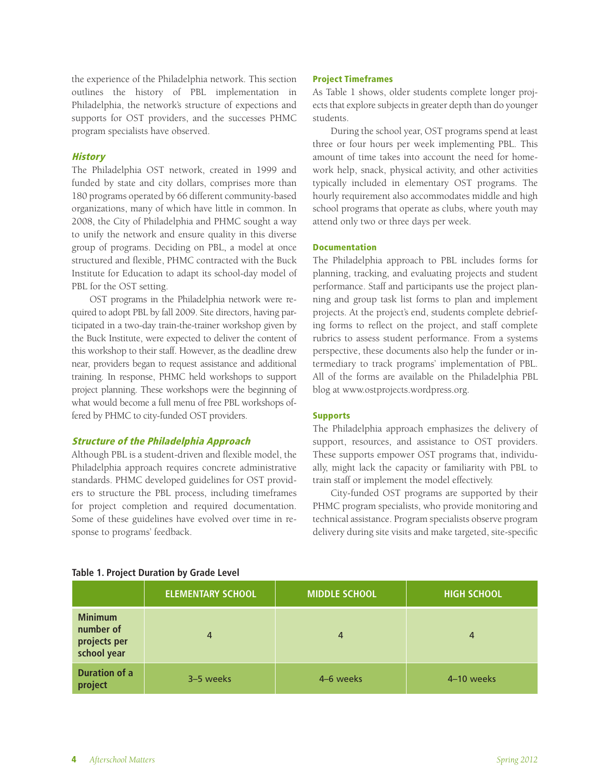the experience of the Philadelphia network. This section outlines the history of PBL implementation in Philadelphia, the network's structure of expections and supports for OST providers, and the successes PHMC program specialists have observed.

#### **History**

The Philadelphia OST network, created in 1999 and funded by state and city dollars, comprises more than 180 programs operated by 66 different community-based organizations, many of which have little in common. In 2008, the City of Philadelphia and PHMC sought a way to unify the network and ensure quality in this diverse group of programs. Deciding on PBL, a model at once structured and flexible, PHMC contracted with the Buck Institute for Education to adapt its school-day model of PBL for the OST setting.

OST programs in the Philadelphia network were required to adopt PBL by fall 2009. Site directors, having participated in a two-day train-the-trainer workshop given by the Buck Institute, were expected to deliver the content of this workshop to their staff. However, as the deadline drew near, providers began to request assistance and additional training. In response, PHMC held workshops to support project planning. These workshops were the beginning of what would become a full menu of free PBL workshops offered by PHMC to city-funded OST providers.

#### Structure of the Philadelphia Approach

Although PBL is a student-driven and flexible model, the Philadelphia approach requires concrete administrative standards. PHMC developed guidelines for OST providers to structure the PBL process, including timeframes for project completion and required documentation. Some of these guidelines have evolved over time in response to programs' feedback.

#### Project Timeframes

As Table 1 shows, older students complete longer projects that explore subjects in greater depth than do younger students.

During the school year, OST programs spend at least three or four hours per week implementing PBL. This amount of time takes into account the need for homework help, snack, physical activity, and other activities typically included in elementary OST programs. The hourly requirement also accommodates middle and high school programs that operate as clubs, where youth may attend only two or three days per week.

#### Documentation

The Philadelphia approach to PBL includes forms for planning, tracking, and evaluating projects and student performance. Staff and participants use the project planning and group task list forms to plan and implement projects. At the project's end, students complete debriefing forms to reflect on the project, and staff complete rubrics to assess student performance. From a systems perspective, these documents also help the funder or intermediary to track programs' implementation of PBL. All of the forms are available on the Philadelphia PBL blog at www.ostprojects.wordpress.org.

#### Supports

The Philadelphia approach emphasizes the delivery of support, resources, and assistance to OST providers. These supports empower OST programs that, individually, might lack the capacity or familiarity with PBL to train staff or implement the model effectively.

City-funded OST programs are supported by their PHMC program specialists, who provide monitoring and technical assistance. Program specialists observe program delivery during site visits and make targeted, site-specific

|                                                            | <b>ELEMENTARY SCHOOL</b> | <b>MIDDLE SCHOOL</b> | <b>HIGH SCHOOL</b> |
|------------------------------------------------------------|--------------------------|----------------------|--------------------|
| <b>Minimum</b><br>number of<br>projects per<br>school year | 4                        | 4                    | 4                  |
| <b>Duration of a</b><br>project                            | 3-5 weeks                | 4-6 weeks            | 4-10 weeks         |

#### **Table 1. Project Duration by Grade Level**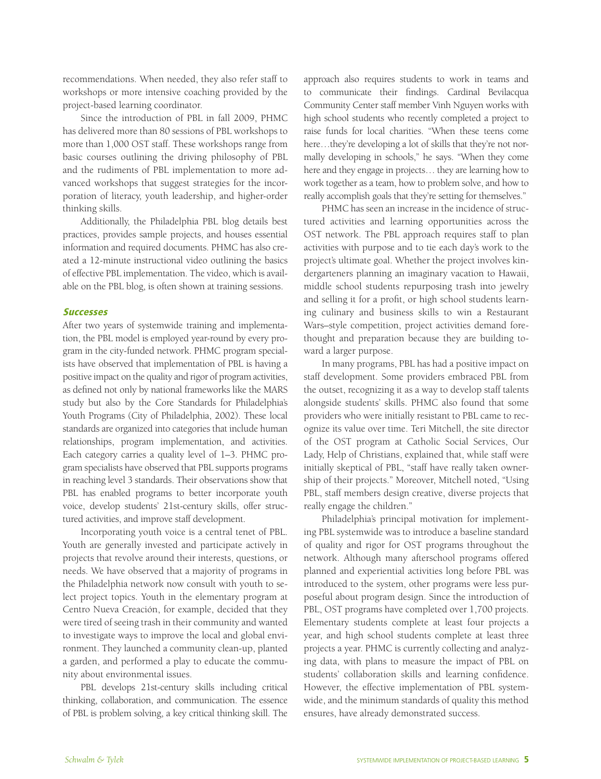recommendations. When needed, they also refer staff to workshops or more intensive coaching provided by the project-based learning coordinator.

Since the introduction of PBL in fall 2009, PHMC has delivered more than 80 sessions of PBL workshops to more than 1,000 OST staff. These workshops range from basic courses outlining the driving philosophy of PBL and the rudiments of PBL implementation to more advanced workshops that suggest strategies for the incorporation of literacy, youth leadership, and higher-order thinking skills.

Additionally, the Philadelphia PBL blog details best practices, provides sample projects, and houses essential information and required documents. PHMC has also created a 12-minute instructional video outlining the basics of effective PBL implementation. The video, which is available on the PBL blog, is often shown at training sessions.

# **Successes**

After two years of systemwide training and implementation, the PBL model is employed year-round by every program in the city-funded network. PHMC program specialists have observed that implementation of PBL is having a positive impact on the quality and rigor of program activities, as defined not only by national frameworks like the MARS study but also by the Core Standards for Philadelphia's Youth Programs (City of Philadelphia, 2002). These local standards are organized into categories that include human relationships, program implementation, and activities. Each category carries a quality level of 1–3. PHMC program specialists have observed that PBL supports programs in reaching level 3 standards. Their observations show that PBL has enabled programs to better incorporate youth voice, develop students' 21st-century skills, offer structured activities, and improve staff development.

Incorporating youth voice is a central tenet of PBL. Youth are generally invested and participate actively in projects that revolve around their interests, questions, or needs. We have observed that a majority of programs in the Philadelphia network now consult with youth to select project topics. Youth in the elementary program at Centro Nueva Creación, for example, decided that they were tired of seeing trash in their community and wanted to investigate ways to improve the local and global environment. They launched a community clean-up, planted a garden, and performed a play to educate the community about environmental issues.

PBL develops 21st-century skills including critical thinking, collaboration, and communication. The essence of PBL is problem solving, a key critical thinking skill. The

approach also requires students to work in teams and to communicate their findings. Cardinal Bevilacqua Community Center staff member Vinh Nguyen works with high school students who recently completed a project to raise funds for local charities. "When these teens come here…they're developing a lot of skills that they're not normally developing in schools," he says. "When they come here and they engage in projects… they are learning how to work together as a team, how to problem solve, and how to really accomplish goals that they're setting for themselves."

PHMC has seen an increase in the incidence of structured activities and learning opportunities across the OST network. The PBL approach requires staff to plan activities with purpose and to tie each day's work to the project's ultimate goal. Whether the project involves kindergarteners planning an imaginary vacation to Hawaii, middle school students repurposing trash into jewelry and selling it for a profit, or high school students learning culinary and business skills to win a Restaurant Wars–style competition, project activities demand forethought and preparation because they are building toward a larger purpose.

In many programs, PBL has had a positive impact on staff development. Some providers embraced PBL from the outset, recognizing it as a way to develop staff talents alongside students' skills. PHMC also found that some providers who were initially resistant to PBL came to recognize its value over time. Teri Mitchell, the site director of the OST program at Catholic Social Services, Our Lady, Help of Christians, explained that, while staff were initially skeptical of PBL, "staff have really taken ownership of their projects." Moreover, Mitchell noted, "Using PBL, staff members design creative, diverse projects that really engage the children."

Philadelphia's principal motivation for implementing PBL systemwide was to introduce a baseline standard of quality and rigor for OST programs throughout the network. Although many afterschool programs offered planned and experiential activities long before PBL was introduced to the system, other programs were less purposeful about program design. Since the introduction of PBL, OST programs have completed over 1,700 projects. Elementary students complete at least four projects a year, and high school students complete at least three projects a year. PHMC is currently collecting and analyzing data, with plans to measure the impact of PBL on students' collaboration skills and learning confidence. However, the effective implementation of PBL systemwide, and the minimum standards of quality this method ensures, have already demonstrated success.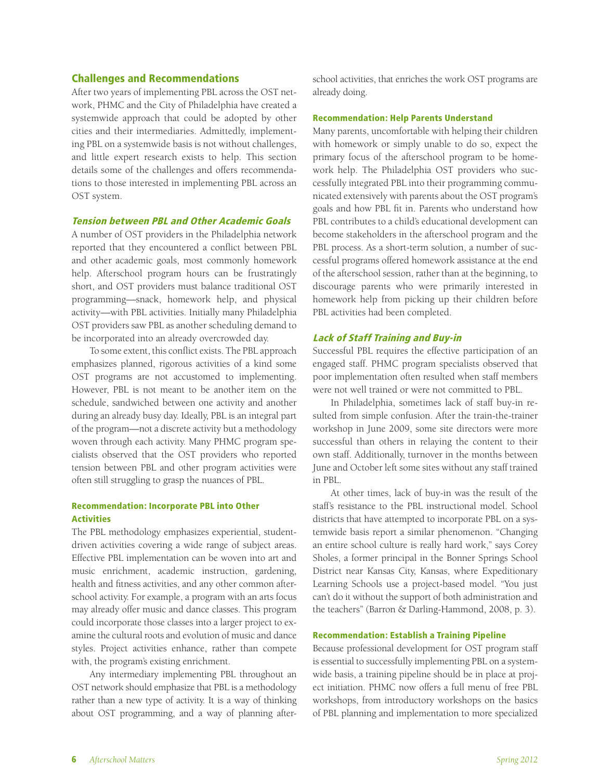# Challenges and Recommendations

After two years of implementing PBL across the OST network, PHMC and the City of Philadelphia have created a systemwide approach that could be adopted by other cities and their intermediaries. Admittedly, implementing PBL on a systemwide basis is not without challenges, and little expert research exists to help. This section details some of the challenges and offers recommendations to those interested in implementing PBL across an OST system.

#### Tension between PBL and Other Academic Goals

A number of OST providers in the Philadelphia network reported that they encountered a conflict between PBL and other academic goals, most commonly homework help. Afterschool program hours can be frustratingly short, and OST providers must balance traditional OST programming—snack, homework help, and physical activity—with PBL activities. Initially many Philadelphia OST providers saw PBL as another scheduling demand to be incorporated into an already overcrowded day.

To some extent, this conflict exists. The PBL approach emphasizes planned, rigorous activities of a kind some OST programs are not accustomed to implementing. However, PBL is not meant to be another item on the schedule, sandwiched between one activity and another during an already busy day. Ideally, PBL is an integral part of the program—not a discrete activity but a methodology woven through each activity. Many PHMC program specialists observed that the OST providers who reported tension between PBL and other program activities were often still struggling to grasp the nuances of PBL.

# Recommendation: Incorporate PBL into Other **Activities**

The PBL methodology emphasizes experiential, studentdriven activities covering a wide range of subject areas. Effective PBL implementation can be woven into art and music enrichment, academic instruction, gardening, health and fitness activities, and any other common afterschool activity. For example, a program with an arts focus may already offer music and dance classes. This program could incorporate those classes into a larger project to examine the cultural roots and evolution of music and dance styles. Project activities enhance, rather than compete with, the program's existing enrichment.

Any intermediary implementing PBL throughout an OST network should emphasize that PBL is a methodology rather than a new type of activity. It is a way of thinking about OST programming, and a way of planning afterschool activities, that enriches the work OST programs are already doing.

#### Recommendation: Help Parents Understand

Many parents, uncomfortable with helping their children with homework or simply unable to do so, expect the primary focus of the afterschool program to be homework help. The Philadelphia OST providers who successfully integrated PBL into their programming communicated extensively with parents about the OST program's goals and how PBL fit in. Parents who understand how PBL contributes to a child's educational development can become stakeholders in the afterschool program and the PBL process. As a short-term solution, a number of successful programs offered homework assistance at the end of the afterschool session, rather than at the beginning, to discourage parents who were primarily interested in homework help from picking up their children before PBL activities had been completed.

#### Lack of Staff Training and Buy-in

Successful PBL requires the effective participation of an engaged staff. PHMC program specialists observed that poor implementation often resulted when staff members were not well trained or were not committed to PBL.

In Philadelphia, sometimes lack of staff buy-in resulted from simple confusion. After the train-the-trainer workshop in June 2009, some site directors were more successful than others in relaying the content to their own staff. Additionally, turnover in the months between June and October left some sites without any staff trained in PBL.

At other times, lack of buy-in was the result of the staff's resistance to the PBL instructional model. School districts that have attempted to incorporate PBL on a systemwide basis report a similar phenomenon. "Changing an entire school culture is really hard work," says Corey Sholes, a former principal in the Bonner Springs School District near Kansas City, Kansas, where Expeditionary Learning Schools use a project-based model. "You just can't do it without the support of both administration and the teachers" (Barron & Darling-Hammond, 2008, p. 3).

#### Recommendation: Establish a Training Pipeline

Because professional development for OST program staff is essential to successfully implementing PBL on a systemwide basis, a training pipeline should be in place at project initiation. PHMC now offers a full menu of free PBL workshops, from introductory workshops on the basics of PBL planning and implementation to more specialized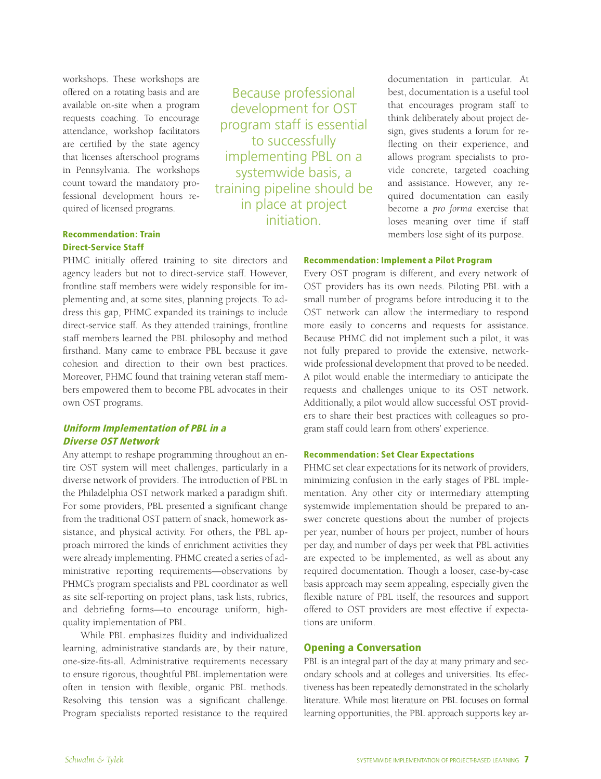workshops. These workshops are offered on a rotating basis and are available on-site when a program requests coaching. To encourage attendance, workshop facilitators are certified by the state agency that licenses afterschool programs in Pennsylvania. The workshops count toward the mandatory professional development hours required of licensed programs.

Because professional development for OST program staff is essential to successfully implementing PBL on a systemwide basis, a training pipeline should be in place at project initiation.

documentation in particular. At best, documentation is a useful tool that encourages program staff to think deliberately about project design, gives students a forum for reflecting on their experience, and allows program specialists to provide concrete, targeted coaching and assistance. However, any required documentation can easily become a *pro forma* exercise that loses meaning over time if staff members lose sight of its purpose.

# Recommendation: Train Direct-Service Staff

PHMC initially offered training to site directors and agency leaders but not to direct-service staff. However, frontline staff members were widely responsible for implementing and, at some sites, planning projects. To address this gap, PHMC expanded its trainings to include direct-service staff. As they attended trainings, frontline staff members learned the PBL philosophy and method firsthand. Many came to embrace PBL because it gave cohesion and direction to their own best practices. Moreover, PHMC found that training veteran staff members empowered them to become PBL advocates in their own OST programs.

# Uniform Implementation of PBL in a Diverse OST Network

Any attempt to reshape programming throughout an entire OST system will meet challenges, particularly in a diverse network of providers. The introduction of PBL in the Philadelphia OST network marked a paradigm shift. For some providers, PBL presented a significant change from the traditional OST pattern of snack, homework assistance, and physical activity. For others, the PBL approach mirrored the kinds of enrichment activities they were already implementing. PHMC created a series of administrative reporting requirements—observations by PHMC's program specialists and PBL coordinator as well as site self-reporting on project plans, task lists, rubrics, and debriefing forms—to encourage uniform, highquality implementation of PBL.

While PBL emphasizes fluidity and individualized learning, administrative standards are, by their nature, one-size-fits-all. Administrative requirements necessary to ensure rigorous, thoughtful PBL implementation were often in tension with flexible, organic PBL methods. Resolving this tension was a significant challenge. Program specialists reported resistance to the required

#### Recommendation: Implement a Pilot Program

Every OST program is different, and every network of OST providers has its own needs. Piloting PBL with a small number of programs before introducing it to the OST network can allow the intermediary to respond more easily to concerns and requests for assistance. Because PHMC did not implement such a pilot, it was not fully prepared to provide the extensive, networkwide professional development that proved to be needed. A pilot would enable the intermediary to anticipate the requests and challenges unique to its OST network. Additionally, a pilot would allow successful OST providers to share their best practices with colleagues so program staff could learn from others' experience.

# Recommendation: Set Clear Expectations

PHMC set clear expectations for its network of providers, minimizing confusion in the early stages of PBL implementation. Any other city or intermediary attempting systemwide implementation should be prepared to answer concrete questions about the number of projects per year, number of hours per project, number of hours per day, and number of days per week that PBL activities are expected to be implemented, as well as about any required documentation. Though a looser, case-by-case basis approach may seem appealing, especially given the flexible nature of PBL itself, the resources and support offered to OST providers are most effective if expectations are uniform.

# Opening a Conversation

PBL is an integral part of the day at many primary and secondary schools and at colleges and universities. Its effectiveness has been repeatedly demonstrated in the scholarly literature. While most literature on PBL focuses on formal learning opportunities, the PBL approach supports key ar